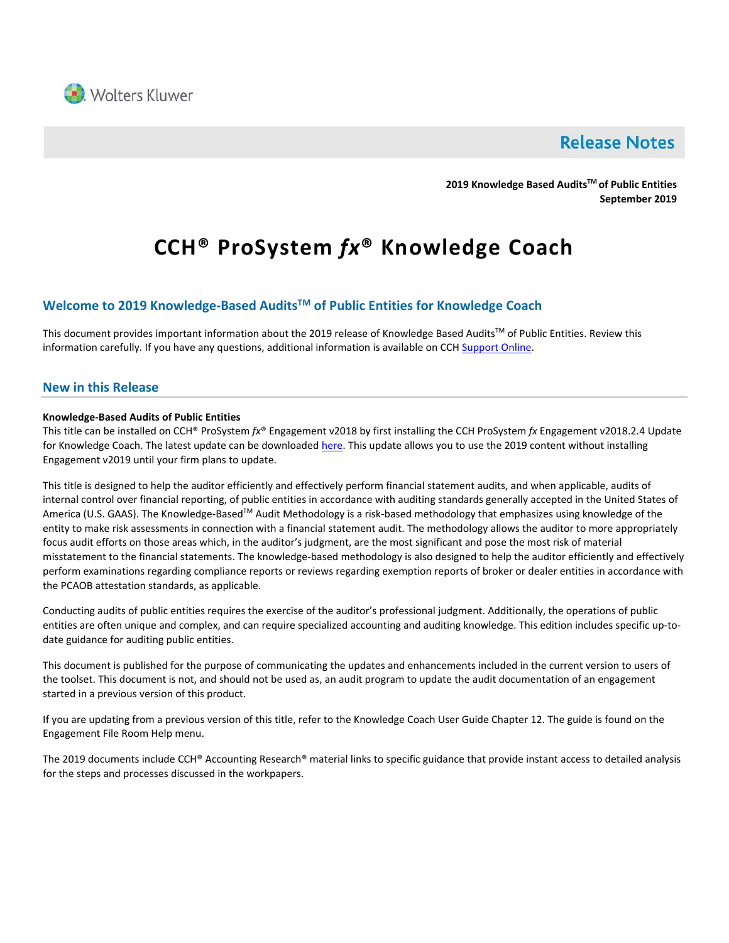

# **Release Notes**

**2019 Knowledge Based AuditsTM of Public Entities September 2019**

# **CCH® ProSystem** *fx***® Knowledge Coach**

# **Welcome to 2019 Knowledge-Based AuditsTM of Public Entities for Knowledge Coach**

This document provides important information about the 2019 release of Knowledge Based Audits™ of Public Entities. Review this information carefully. If you have any questions, additional information is available on CCH [Support Online.](http://support.cch.com/productsupport/)

### **New in this Release**

#### **Knowledge-Based Audits of Public Entities**

This title can be installed on CCH® ProSystem *fx*® Engagement v2018 by first installing the CCH ProSystem *fx* Engagement v2018.2.4 Update for Knowledge Coach. The latest update can be downloaded [here.](https://support.cch.com/updates/Engagement/release2018/release2018.aspx) This update allows you to use the 2019 content without installing Engagement v2019 until your firm plans to update.

This title is designed to help the auditor efficiently and effectively perform financial statement audits, and when applicable, audits of internal control over financial reporting, of public entities in accordance with auditing standards generally accepted in the United States of America (U.S. GAAS). The Knowledge-Based™ Audit Methodology is a risk-based methodology that emphasizes using knowledge of the entity to make risk assessments in connection with a financial statement audit. The methodology allows the auditor to more appropriately focus audit efforts on those areas which, in the auditor's judgment, are the most significant and pose the most risk of material misstatement to the financial statements. The knowledge-based methodology is also designed to help the auditor efficiently and effectively perform examinations regarding compliance reports or reviews regarding exemption reports of broker or dealer entities in accordance with the PCAOB attestation standards, as applicable.

Conducting audits of public entities requires the exercise of the auditor's professional judgment. Additionally, the operations of public entities are often unique and complex, and can require specialized accounting and auditing knowledge. This edition includes specific up-todate guidance for auditing public entities.

This document is published for the purpose of communicating the updates and enhancements included in the current version to users of the toolset. This document is not, and should not be used as, an audit program to update the audit documentation of an engagement started in a previous version of this product.

If you are updating from a previous version of this title, refer to the Knowledge Coach User Guide Chapter 12. The guide is found on the Engagement File Room Help menu.

The 2019 documents include CCH® Accounting Research® material links to specific guidance that provide instant access to detailed analysis for the steps and processes discussed in the workpapers.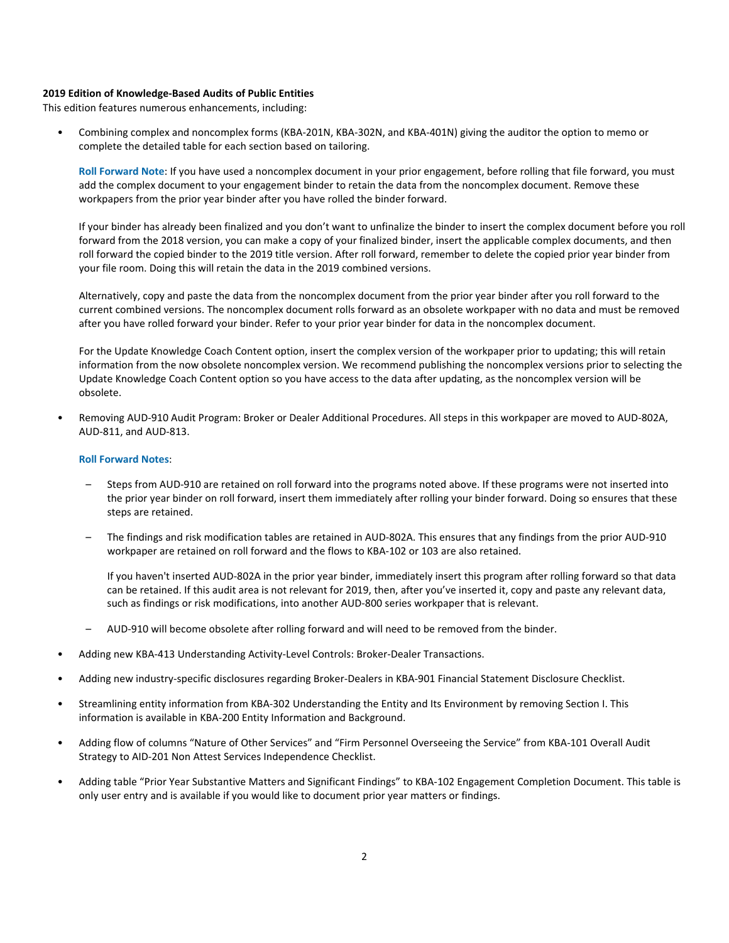#### **2019 Edition of Knowledge-Based Audits of Public Entities**

This edition features numerous enhancements, including:

• Combining complex and noncomplex forms (KBA-201N, KBA-302N, and KBA-401N) giving the auditor the option to memo or complete the detailed table for each section based on tailoring.

**Roll Forward Note**: If you have used a noncomplex document in your prior engagement, before rolling that file forward, you must add the complex document to your engagement binder to retain the data from the noncomplex document. Remove these workpapers from the prior year binder after you have rolled the binder forward.

If your binder has already been finalized and you don't want to unfinalize the binder to insert the complex document before you roll forward from the 2018 version, you can make a copy of your finalized binder, insert the applicable complex documents, and then roll forward the copied binder to the 2019 title version. After roll forward, remember to delete the copied prior year binder from your file room. Doing this will retain the data in the 2019 combined versions.

Alternatively, copy and paste the data from the noncomplex document from the prior year binder after you roll forward to the current combined versions. The noncomplex document rolls forward as an obsolete workpaper with no data and must be removed after you have rolled forward your binder. Refer to your prior year binder for data in the noncomplex document.

For the Update Knowledge Coach Content option, insert the complex version of the workpaper prior to updating; this will retain information from the now obsolete noncomplex version. We recommend publishing the noncomplex versions prior to selecting the Update Knowledge Coach Content option so you have access to the data after updating, as the noncomplex version will be obsolete.

• Removing AUD-910 Audit Program: Broker or Dealer Additional Procedures. All steps in this workpaper are moved to AUD-802A, AUD-811, and AUD-813.

#### **Roll Forward Notes**:

- Steps from AUD-910 are retained on roll forward into the programs noted above. If these programs were not inserted into the prior year binder on roll forward, insert them immediately after rolling your binder forward. Doing so ensures that these steps are retained.
- The findings and risk modification tables are retained in AUD-802A. This ensures that any findings from the prior AUD-910 workpaper are retained on roll forward and the flows to KBA-102 or 103 are also retained.

If you haven't inserted AUD-802A in the prior year binder, immediately insert this program after rolling forward so that data can be retained. If this audit area is not relevant for 2019, then, after you've inserted it, copy and paste any relevant data, such as findings or risk modifications, into another AUD-800 series workpaper that is relevant.

- AUD-910 will become obsolete after rolling forward and will need to be removed from the binder.
- Adding new KBA-413 Understanding Activity-Level Controls: Broker-Dealer Transactions.
- Adding new industry-specific disclosures regarding Broker-Dealers in KBA-901 Financial Statement Disclosure Checklist.
- Streamlining entity information from KBA-302 Understanding the Entity and Its Environment by removing Section I. This information is available in KBA-200 Entity Information and Background.
- Adding flow of columns "Nature of Other Services" and "Firm Personnel Overseeing the Service" from KBA-101 Overall Audit Strategy to AID-201 Non Attest Services Independence Checklist.
- Adding table "Prior Year Substantive Matters and Significant Findings" to KBA-102 Engagement Completion Document. This table is only user entry and is available if you would like to document prior year matters or findings.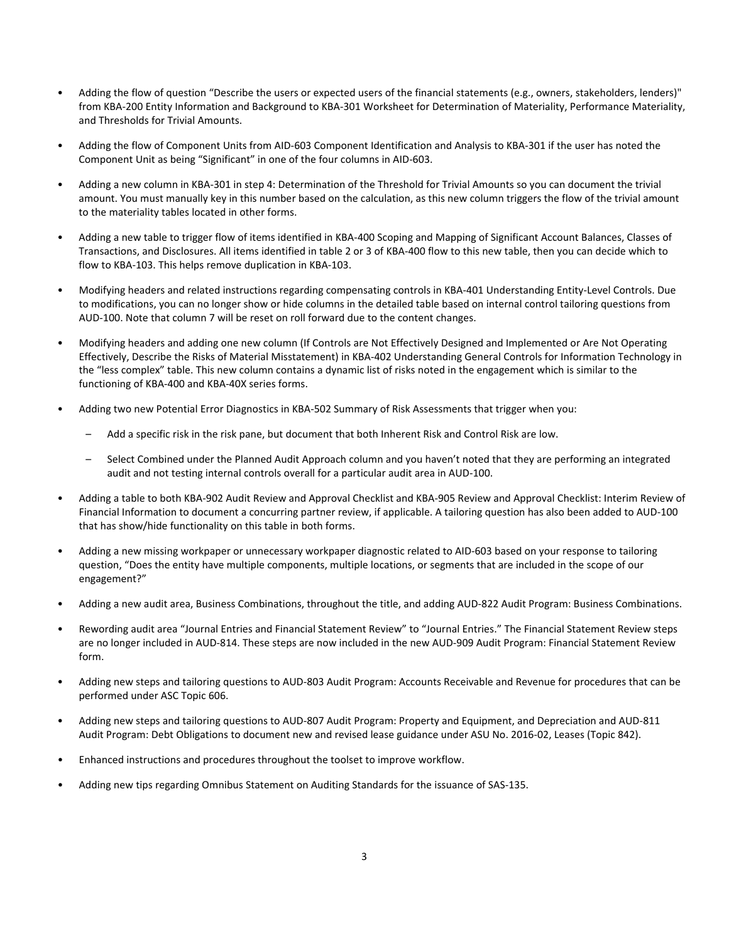- Adding the flow of question "Describe the users or expected users of the financial statements (e.g., owners, stakeholders, lenders)" from KBA-200 Entity Information and Background to KBA-301 Worksheet for Determination of Materiality, Performance Materiality, and Thresholds for Trivial Amounts.
- Adding the flow of Component Units from AID-603 Component Identification and Analysis to KBA-301 if the user has noted the Component Unit as being "Significant" in one of the four columns in AID-603.
- Adding a new column in KBA-301 in step 4: Determination of the Threshold for Trivial Amounts so you can document the trivial amount. You must manually key in this number based on the calculation, as this new column triggers the flow of the trivial amount to the materiality tables located in other forms.
- Adding a new table to trigger flow of items identified in KBA-400 Scoping and Mapping of Significant Account Balances, Classes of Transactions, and Disclosures. All items identified in table 2 or 3 of KBA-400 flow to this new table, then you can decide which to flow to KBA-103. This helps remove duplication in KBA-103.
- Modifying headers and related instructions regarding compensating controls in KBA-401 Understanding Entity-Level Controls. Due to modifications, you can no longer show or hide columns in the detailed table based on internal control tailoring questions from AUD-100. Note that column 7 will be reset on roll forward due to the content changes.
- Modifying headers and adding one new column (If Controls are Not Effectively Designed and Implemented or Are Not Operating Effectively, Describe the Risks of Material Misstatement) in KBA-402 Understanding General Controls for Information Technology in the "less complex" table. This new column contains a dynamic list of risks noted in the engagement which is similar to the functioning of KBA-400 and KBA-40X series forms.
- Adding two new Potential Error Diagnostics in KBA-502 Summary of Risk Assessments that trigger when you:
	- Add a specific risk in the risk pane, but document that both Inherent Risk and Control Risk are low.
	- Select Combined under the Planned Audit Approach column and you haven't noted that they are performing an integrated audit and not testing internal controls overall for a particular audit area in AUD-100.
- Adding a table to both KBA-902 Audit Review and Approval Checklist and KBA-905 Review and Approval Checklist: Interim Review of Financial Information to document a concurring partner review, if applicable. A tailoring question has also been added to AUD-100 that has show/hide functionality on this table in both forms.
- Adding a new missing workpaper or unnecessary workpaper diagnostic related to AID-603 based on your response to tailoring question, "Does the entity have multiple components, multiple locations, or segments that are included in the scope of our engagement?"
- Adding a new audit area, Business Combinations, throughout the title, and adding AUD-822 Audit Program: Business Combinations.
- Rewording audit area "Journal Entries and Financial Statement Review" to "Journal Entries." The Financial Statement Review steps are no longer included in AUD-814. These steps are now included in the new AUD-909 Audit Program: Financial Statement Review form.
- Adding new steps and tailoring questions to AUD-803 Audit Program: Accounts Receivable and Revenue for procedures that can be performed under ASC Topic 606.
- Adding new steps and tailoring questions to AUD-807 Audit Program: Property and Equipment, and Depreciation and AUD-811 Audit Program: Debt Obligations to document new and revised lease guidance under ASU No. 2016-02, Leases (Topic 842).
- Enhanced instructions and procedures throughout the toolset to improve workflow.
- Adding new tips regarding Omnibus Statement on Auditing Standards for the issuance of SAS-135.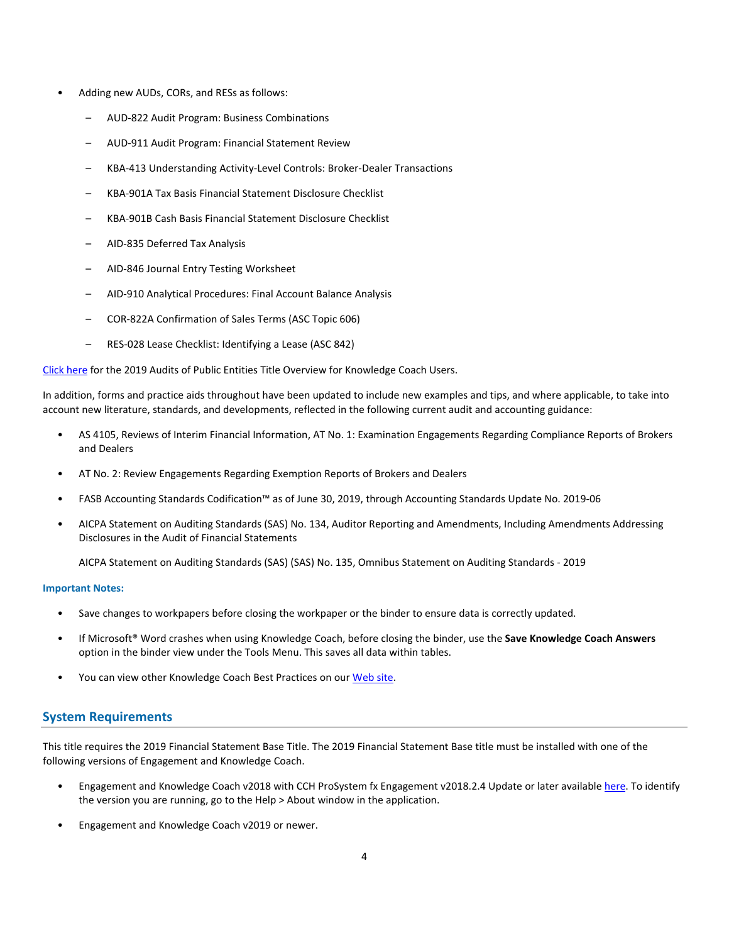- Adding new AUDs, CORs, and RESs as follows:
	- AUD-822 Audit Program: Business Combinations
	- AUD-911 Audit Program: Financial Statement Review
	- KBA-413 Understanding Activity-Level Controls: Broker-Dealer Transactions
	- KBA-901A Tax Basis Financial Statement Disclosure Checklist
	- KBA-901B Cash Basis Financial Statement Disclosure Checklist
	- AID-835 Deferred Tax Analysis
	- AID-846 Journal Entry Testing Worksheet
	- AID-910 Analytical Procedures: Final Account Balance Analysis
	- COR-822A Confirmation of Sales Terms (ASC Topic 606)
	- RES-028 Lease Checklist: Identifying a Lease (ASC 842)

[Click here](http://support.cch.com/updates/KnowledgeCoach/pdf/guides_tab/2019%20Public%20Entities%20Title%20Overview%20for%20Knowledge%20Coach%20Users.pdf) for the 2019 Audits of Public Entities Title Overview for Knowledge Coach Users.

In addition, forms and practice aids throughout have been updated to include new examples and tips, and where applicable, to take into account new literature, standards, and developments, reflected in the following current audit and accounting guidance:

- AS 4105, Reviews of Interim Financial Information, AT No. 1: Examination Engagements Regarding Compliance Reports of Brokers and Dealers
- AT No. 2: Review Engagements Regarding Exemption Reports of Brokers and Dealers
- FASB Accounting Standards Codification™ as of June 30, 2019, through Accounting Standards Update No. 2019-06
- AICPA Statement on Auditing Standards (SAS) No. 134, Auditor Reporting and Amendments, Including Amendments Addressing Disclosures in the Audit of Financial Statements

AICPA Statement on Auditing Standards (SAS) (SAS) No. 135, Omnibus Statement on Auditing Standards - 2019

#### **Important Notes:**

- Save changes to workpapers before closing the workpaper or the binder to ensure data is correctly updated.
- If Microsoft® Word crashes when using Knowledge Coach, before closing the binder, use the **Save Knowledge Coach Answers** option in the binder view under the Tools Menu. This saves all data within tables.
- You can view other Knowledge Coach Best Practices on ou[r Web](https://support.cch.com/kb/solution/000034942/sw34947) site.

# **System Requirements**

This title requires the 2019 Financial Statement Base Title. The 2019 Financial Statement Base title must be installed with one of the following versions of Engagement and Knowledge Coach.

- Engagement and Knowledge Coach v2018 with CCH ProSystem fx Engagement v2018.2.4 Update or later available [here.](https://support.cch.com/updates/Engagement/release2018/release2018.aspx) To identify the version you are running, go to the Help > About window in the application.
- Engagement and Knowledge Coach v2019 or newer.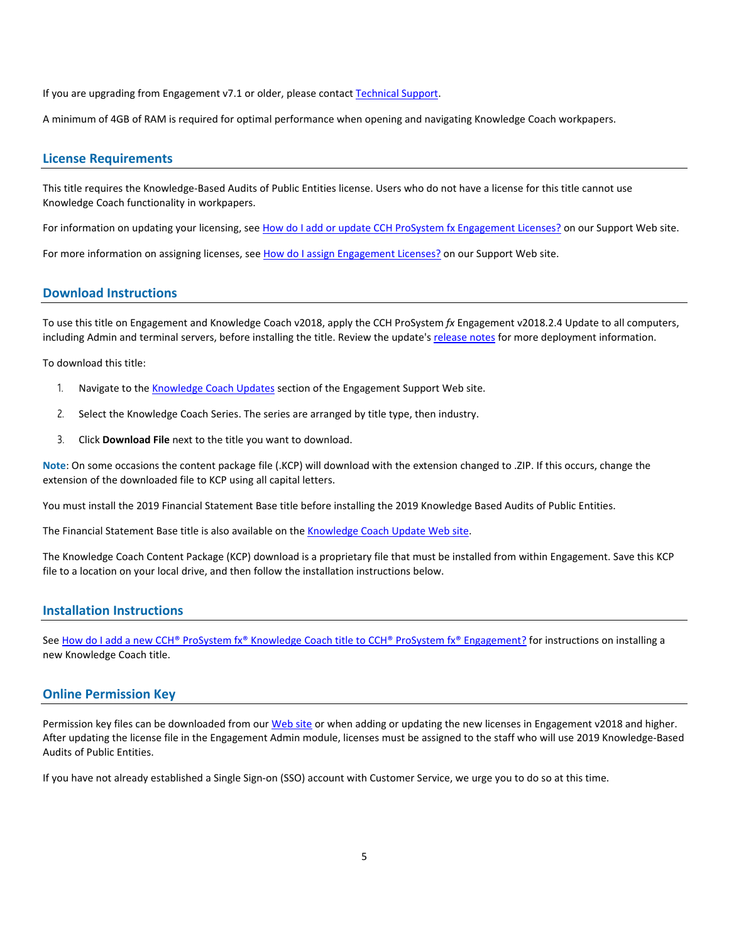If you are upgrading from Engagement v7.1 or older, please contact [Technical Support.](https://support.cch.com/contact)

A minimum of 4GB of RAM is required for optimal performance when opening and navigating Knowledge Coach workpapers.

#### **License Requirements**

This title requires the Knowledge-Based Audits of Public Entities license. Users who do not have a license for this title cannot use Knowledge Coach functionality in workpapers.

For information on updating your licensing, see [How do I add or update CCH ProSystem fx Engagement Licenses?](https://support.cch.com/kb/solution.aspx/sw3937) on our Support Web site.

For more information on assigning licenses, see [How do I assign Engagement Licenses?](https://support.cch.com/kb/solution.aspx/sw3943) on our Support Web site.

#### **Download Instructions**

To use this title on Engagement and Knowledge Coach v2018, apply the CCH ProSystem *fx* Engagement v2018.2.4 Update to all computers, including Admin and terminal servers, before installing the title. Review the update'[s release notes](https://d2iceilwdglxpz.cloudfront.net/release_notes/CCH%20ProSystem%20fx%20Engagement%202018.2.4%20Release%20Notes.pdf) for more deployment information.

To download this title:

- 1. Navigate to the [Knowledge Coach Updates](http://support.cch.com/updates/KnowledgeCoach) section of the Engagement Support Web site.
- 2. Select the Knowledge Coach Series. The series are arranged by title type, then industry.
- 3. Click **Download File** next to the title you want to download.

**Note**: On some occasions the content package file (.KCP) will download with the extension changed to .ZIP. If this occurs, change the extension of the downloaded file to KCP using all capital letters.

You must install the 2019 Financial Statement Base title before installing the 2019 Knowledge Based Audits of Public Entities.

The Financial Statement Base title is also available on th[e Knowledge Coach Update](http://support.cch.com/updates/KnowledgeCoach) Web site.

The Knowledge Coach Content Package (KCP) download is a proprietary file that must be installed from within Engagement. Save this KCP file to a location on your local drive, and then follow the installation instructions below.

# **Installation Instructions**

See [How do I add a new CCH® ProSystem fx® Knowledge Coach title to CCH® ProSystem fx® Engagement?](https://support.cch.com/kb/solution/000033707/sw30271) for instructions on installing a new Knowledge Coach title.

#### **Online Permission Key**

Permission key files can be downloaded from our [Web](https://prosystemfxsupport.tax.cchgroup.com/permkey/download.aspx) site or when adding or updating the new licenses in Engagement v2018 and higher. After updating the license file in the Engagement Admin module, licenses must be assigned to the staff who will use 2019 Knowledge-Based Audits of Public Entities.

If you have not already established a Single Sign-on (SSO) account with Customer Service, we urge you to do so at this time.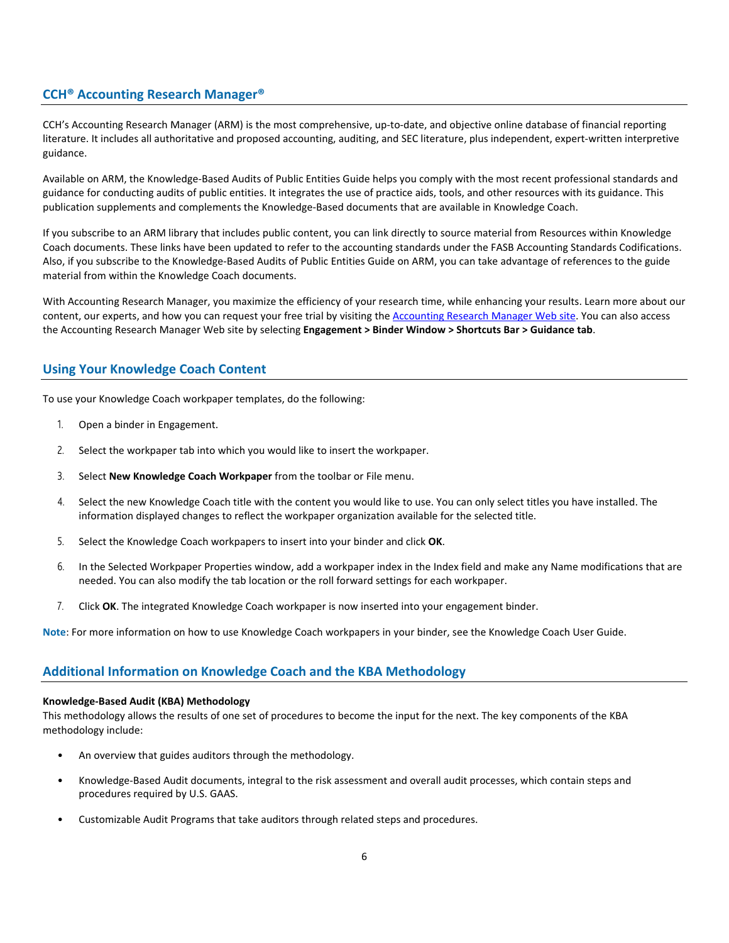# **CCH® Accounting Research Manager®**

CCH's Accounting Research Manager (ARM) is the most comprehensive, up-to-date, and objective online database of financial reporting literature. It includes all authoritative and proposed accounting, auditing, and SEC literature, plus independent, expert-written interpretive guidance.

Available on ARM, the Knowledge-Based Audits of Public Entities Guide helps you comply with the most recent professional standards and guidance for conducting audits of public entities. It integrates the use of practice aids, tools, and other resources with its guidance. This publication supplements and complements the Knowledge-Based documents that are available in Knowledge Coach.

If you subscribe to an ARM library that includes public content, you can link directly to source material from Resources within Knowledge Coach documents. These links have been updated to refer to the accounting standards under the FASB Accounting Standards Codifications. Also, if you subscribe to the Knowledge-Based Audits of Public Entities Guide on ARM, you can take advantage of references to the guide material from within the Knowledge Coach documents.

With Accounting Research Manager, you maximize the efficiency of your research time, while enhancing your results. Learn more about our content, our experts, and how you can request your free trial by visiting the [Accounting Research Manager Web](http://www.accountingresearchmanager.com/) site. You can also access the Accounting Research Manager Web site by selecting **Engagement > Binder Window > Shortcuts Bar > Guidance tab**.

# **Using Your Knowledge Coach Content**

To use your Knowledge Coach workpaper templates, do the following:

- 1. Open a binder in Engagement.
- 2. Select the workpaper tab into which you would like to insert the workpaper.
- 3. Select **New Knowledge Coach Workpaper** from the toolbar or File menu.
- 4. Select the new Knowledge Coach title with the content you would like to use. You can only select titles you have installed. The information displayed changes to reflect the workpaper organization available for the selected title.
- 5. Select the Knowledge Coach workpapers to insert into your binder and click **OK**.
- 6. In the Selected Workpaper Properties window, add a workpaper index in the Index field and make any Name modifications that are needed. You can also modify the tab location or the roll forward settings for each workpaper.
- 7. Click **OK**. The integrated Knowledge Coach workpaper is now inserted into your engagement binder.

**Note**: For more information on how to use Knowledge Coach workpapers in your binder, see the Knowledge Coach User Guide.

# **Additional Information on Knowledge Coach and the KBA Methodology**

#### **Knowledge-Based Audit (KBA) Methodology**

This methodology allows the results of one set of procedures to become the input for the next. The key components of the KBA methodology include:

- An overview that guides auditors through the methodology.
- Knowledge-Based Audit documents, integral to the risk assessment and overall audit processes, which contain steps and procedures required by U.S. GAAS.
- Customizable Audit Programs that take auditors through related steps and procedures.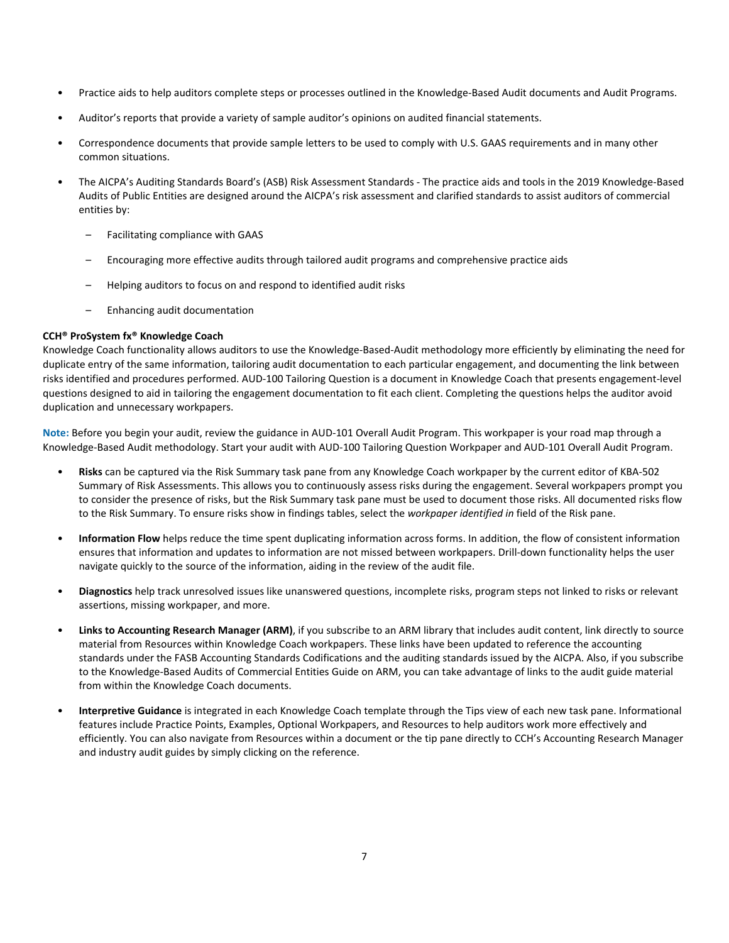- Practice aids to help auditors complete steps or processes outlined in the Knowledge-Based Audit documents and Audit Programs.
- Auditor's reports that provide a variety of sample auditor's opinions on audited financial statements.
- Correspondence documents that provide sample letters to be used to comply with U.S. GAAS requirements and in many other common situations.
- The AICPA's Auditing Standards Board's (ASB) Risk Assessment Standards The practice aids and tools in the 2019 Knowledge-Based Audits of Public Entities are designed around the AICPA's risk assessment and clarified standards to assist auditors of commercial entities by:
	- Facilitating compliance with GAAS
	- Encouraging more effective audits through tailored audit programs and comprehensive practice aids
	- Helping auditors to focus on and respond to identified audit risks
	- Enhancing audit documentation

#### **CCH® ProSystem fx® Knowledge Coach**

Knowledge Coach functionality allows auditors to use the Knowledge-Based-Audit methodology more efficiently by eliminating the need for duplicate entry of the same information, tailoring audit documentation to each particular engagement, and documenting the link between risks identified and procedures performed. AUD-100 Tailoring Question is a document in Knowledge Coach that presents engagement-level questions designed to aid in tailoring the engagement documentation to fit each client. Completing the questions helps the auditor avoid duplication and unnecessary workpapers.

**Note:** Before you begin your audit, review the guidance in AUD-101 Overall Audit Program. This workpaper is your road map through a Knowledge-Based Audit methodology. Start your audit with AUD-100 Tailoring Question Workpaper and AUD-101 Overall Audit Program.

- **Risks** can be captured via the Risk Summary task pane from any Knowledge Coach workpaper by the current editor of KBA-502 Summary of Risk Assessments. This allows you to continuously assess risks during the engagement. Several workpapers prompt you to consider the presence of risks, but the Risk Summary task pane must be used to document those risks. All documented risks flow to the Risk Summary. To ensure risks show in findings tables, select the *workpaper identified in* field of the Risk pane.
- **Information Flow** helps reduce the time spent duplicating information across forms. In addition, the flow of consistent information ensures that information and updates to information are not missed between workpapers. Drill-down functionality helps the user navigate quickly to the source of the information, aiding in the review of the audit file.
- **Diagnostics** help track unresolved issues like unanswered questions, incomplete risks, program steps not linked to risks or relevant assertions, missing workpaper, and more.
- Links to Accounting Research Manager (ARM), if you subscribe to an ARM library that includes audit content, link directly to source material from Resources within Knowledge Coach workpapers. These links have been updated to reference the accounting standards under the FASB Accounting Standards Codifications and the auditing standards issued by the AICPA. Also, if you subscribe to the Knowledge-Based Audits of Commercial Entities Guide on ARM, you can take advantage of links to the audit guide material from within the Knowledge Coach documents.
- **Interpretive Guidance** is integrated in each Knowledge Coach template through the Tips view of each new task pane. Informational features include Practice Points, Examples, Optional Workpapers, and Resources to help auditors work more effectively and efficiently. You can also navigate from Resources within a document or the tip pane directly to CCH's Accounting Research Manager and industry audit guides by simply clicking on the reference.